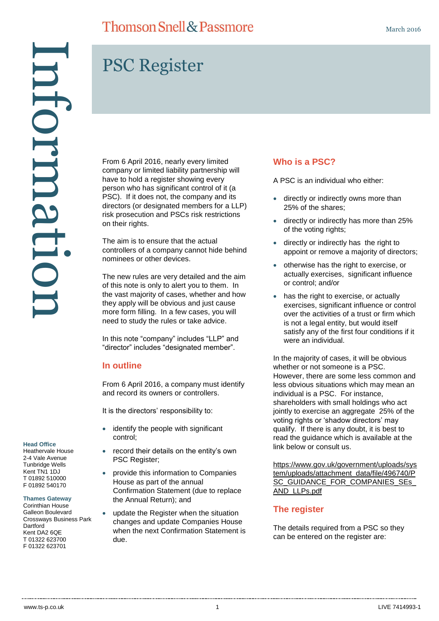# PSC Register

From 6 April 2016, nearly every limited company or limited liability partnership will have to hold a register showing every person who has significant control of it (a PSC). If it does not, the company and its directors (or designated members for a LLP) risk prosecution and PSCs risk restrictions on their rights.

The aim is to ensure that the actual controllers of a company cannot hide behind nominees or other devices.

The new rules are very detailed and the aim of this note is only to alert you to them. In the vast majority of cases, whether and how they apply will be obvious and just cause more form filling. In a few cases, you will need to study the rules or take advice.

In this note "company" includes "LLP" and "director" includes "designated member".

## **In outline**

From 6 April 2016, a company must identify and record its owners or controllers.

It is the directors' responsibility to:

- identify the people with significant control;
- record their details on the entity's own PSC Register;
- provide this information to Companies House as part of the annual Confirmation Statement (due to replace the Annual Return); and
- update the Register when the situation changes and update Companies House when the next Confirmation Statement is due.

# **Who is a PSC?**

A PSC is an individual who either:

- directly or indirectly owns more than 25% of the shares;
- directly or indirectly has more than 25% of the voting rights;
- directly or indirectly has the right to appoint or remove a majority of directors;
- otherwise has the right to exercise, or actually exercises, significant influence or control; and/or
- has the right to exercise, or actually exercises, significant influence or control over the activities of a trust or firm which is not a legal entity, but would itself satisfy any of the first four conditions if it were an individual.

In the majority of cases, it will be obvious whether or not someone is a PSC. However, there are some less common and less obvious situations which may mean an individual is a PSC. For instance, shareholders with small holdings who act jointly to exercise an aggregate 25% of the voting rights or 'shadow directors' may qualify. If there is any doubt, it is best to read the guidance which is available at the link below or consult us.

[https://www.gov.uk/government/uploads/sys](https://www.gov.uk/government/uploads/system/uploads/attachment_data/file/496740/PSC_GUIDANCE_FOR_COMPANIES_SEs_AND_LLPs.pdf) [tem/uploads/attachment\\_data/file/496740/P](https://www.gov.uk/government/uploads/system/uploads/attachment_data/file/496740/PSC_GUIDANCE_FOR_COMPANIES_SEs_AND_LLPs.pdf) [SC\\_GUIDANCE\\_FOR\\_COMPANIES\\_SEs\\_](https://www.gov.uk/government/uploads/system/uploads/attachment_data/file/496740/PSC_GUIDANCE_FOR_COMPANIES_SEs_AND_LLPs.pdf) [AND\\_LLPs.pdf](https://www.gov.uk/government/uploads/system/uploads/attachment_data/file/496740/PSC_GUIDANCE_FOR_COMPANIES_SEs_AND_LLPs.pdf)

## **The register**

The details required from a PSC so they can be entered on the register are:

#### **Head Office**

Heathervale House 2-4 Vale Avenue Tunbridge Wells Kent TN1 1DJ T 01892 510000 F 01892 540170

#### **Thames Gateway**

Corinthian House Galleon Boulevard Crossways Business Park **Dartford** Kent DA2 6QE T 01322 623700 F 01322 623701